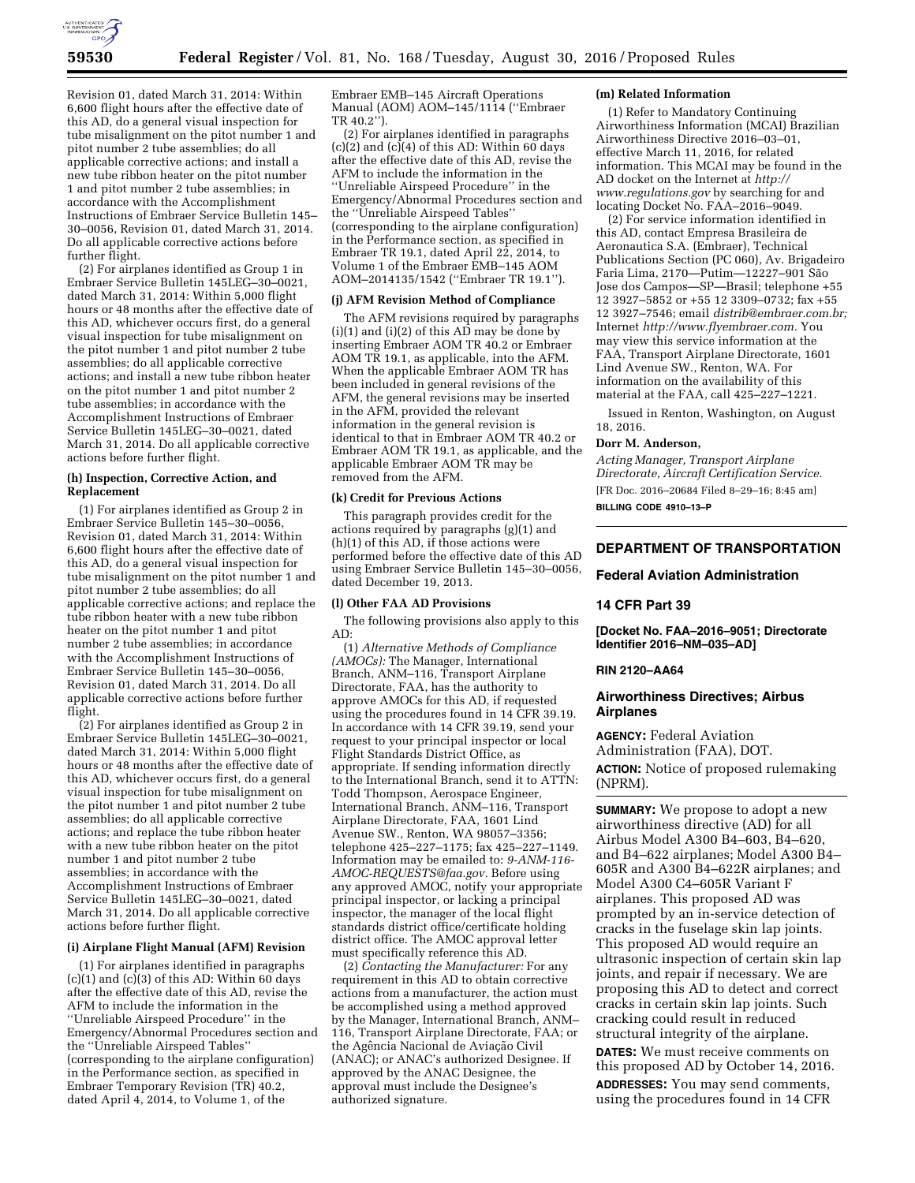

Revision 01, dated March 31, 2014: Within 6,600 flight hours after the effective date of this AD, do a general visual inspection for tube misalignment on the pitot number 1 and pitot number 2 tube assemblies; do all applicable corrective actions; and install a new tube ribbon heater on the pitot number 1 and pitot number 2 tube assemblies; in accordance with the Accomplishment Instructions of Embraer Service Bulletin 145– 30–0056, Revision 01, dated March 31, 2014. Do all applicable corrective actions before further flight.

(2) For airplanes identified as Group 1 in Embraer Service Bulletin 145LEG–30–0021, dated March 31, 2014: Within 5,000 flight hours or 48 months after the effective date of this AD, whichever occurs first, do a general visual inspection for tube misalignment on the pitot number 1 and pitot number 2 tube assemblies; do all applicable corrective actions; and install a new tube ribbon heater on the pitot number 1 and pitot number 2 tube assemblies; in accordance with the Accomplishment Instructions of Embraer Service Bulletin 145LEG–30–0021, dated March 31, 2014. Do all applicable corrective actions before further flight.

#### **(h) Inspection, Corrective Action, and Replacement**

(1) For airplanes identified as Group 2 in Embraer Service Bulletin 145–30–0056, Revision 01, dated March 31, 2014: Within 6,600 flight hours after the effective date of this AD, do a general visual inspection for tube misalignment on the pitot number 1 and pitot number 2 tube assemblies; do all applicable corrective actions; and replace the tube ribbon heater with a new tube ribbon heater on the pitot number 1 and pitot number 2 tube assemblies; in accordance with the Accomplishment Instructions of Embraer Service Bulletin 145–30–0056, Revision 01, dated March 31, 2014. Do all applicable corrective actions before further flight.

(2) For airplanes identified as Group 2 in Embraer Service Bulletin 145LEG–30–0021, dated March 31, 2014: Within 5,000 flight hours or 48 months after the effective date of this AD, whichever occurs first, do a general visual inspection for tube misalignment on the pitot number 1 and pitot number 2 tube assemblies; do all applicable corrective actions; and replace the tube ribbon heater with a new tube ribbon heater on the pitot number 1 and pitot number 2 tube assemblies; in accordance with the Accomplishment Instructions of Embraer Service Bulletin 145LEG–30–0021, dated March 31, 2014. Do all applicable corrective actions before further flight.

# **(i) Airplane Flight Manual (AFM) Revision**

(1) For airplanes identified in paragraphs  $(c)(1)$  and  $(c)(3)$  of this AD: Within 60 days after the effective date of this AD, revise the AFM to include the information in the ''Unreliable Airspeed Procedure'' in the Emergency/Abnormal Procedures section and the ''Unreliable Airspeed Tables'' (corresponding to the airplane configuration) in the Performance section, as specified in Embraer Temporary Revision (TR) 40.2, dated April 4, 2014, to Volume 1, of the

Embraer EMB–145 Aircraft Operations Manual (AOM) AOM–145/1114 (''Embraer TR 40.2'').

(2) For airplanes identified in paragraphs  $(c)(2)$  and  $(c)(4)$  of this AD: Within 60 days after the effective date of this AD, revise the AFM to include the information in the ''Unreliable Airspeed Procedure'' in the Emergency/Abnormal Procedures section and the ''Unreliable Airspeed Tables'' (corresponding to the airplane configuration) in the Performance section, as specified in Embraer TR 19.1, dated April  $22, 2014$ , to Volume 1 of the Embraer EMB–145 AOM AOM–2014135/1542 (''Embraer TR 19.1'').

#### **(j) AFM Revision Method of Compliance**

The AFM revisions required by paragraphs  $(i)(1)$  and  $(i)(2)$  of this  $AD$  may be done by inserting Embraer AOM TR 40.2 or Embraer AOM TR 19.1, as applicable, into the AFM. When the applicable Embraer AOM TR has been included in general revisions of the AFM, the general revisions may be inserted in the AFM, provided the relevant information in the general revision is identical to that in Embraer AOM TR 40.2 or Embraer AOM TR 19.1, as applicable, and the applicable Embraer AOM TR may be removed from the AFM.

#### **(k) Credit for Previous Actions**

This paragraph provides credit for the actions required by paragraphs (g)(1) and (h)(1) of this AD, if those actions were performed before the effective date of this AD using Embraer Service Bulletin 145–30–0056, dated December 19, 2013.

#### **(l) Other FAA AD Provisions**

The following provisions also apply to this AD:

(1) *Alternative Methods of Compliance (AMOCs):* The Manager, International Branch, ANM–116, Transport Airplane Directorate, FAA, has the authority to approve AMOCs for this AD, if requested using the procedures found in 14 CFR 39.19. In accordance with 14 CFR 39.19, send your request to your principal inspector or local Flight Standards District Office, as appropriate. If sending information directly to the International Branch, send it to ATTN: Todd Thompson, Aerospace Engineer, International Branch, ANM–116, Transport Airplane Directorate, FAA, 1601 Lind Avenue SW., Renton, WA 98057–3356; telephone 425–227–1175; fax 425–227–1149. Information may be emailed to: *[9-ANM-116-](mailto:9-ANM-116-AMOC-REQUESTS@faa.gov) [AMOC-REQUESTS@faa.gov.](mailto:9-ANM-116-AMOC-REQUESTS@faa.gov)* Before using any approved AMOC, notify your appropriate principal inspector, or lacking a principal inspector, the manager of the local flight standards district office/certificate holding district office. The AMOC approval letter must specifically reference this AD.

(2) *Contacting the Manufacturer:* For any requirement in this AD to obtain corrective actions from a manufacturer, the action must be accomplished using a method approved by the Manager, International Branch, ANM– 116, Transport Airplane Directorate, FAA; or the Agência Nacional de Aviação Civil (ANAC); or ANAC's authorized Designee. If approved by the ANAC Designee, the approval must include the Designee's authorized signature.

## **(m) Related Information**

(1) Refer to Mandatory Continuing Airworthiness Information (MCAI) Brazilian Airworthiness Directive 2016–03–01, effective March 11, 2016, for related information. This MCAI may be found in the AD docket on the Internet at *[http://](http://www.regulations.gov) [www.regulations.gov](http://www.regulations.gov)* by searching for and locating Docket No. FAA–2016–9049.

(2) For service information identified in this AD, contact Empresa Brasileira de Aeronautica S.A. (Embraer), Technical Publications Section (PC 060), Av. Brigadeiro Faria Lima, 2170—Putim—12227-901 São Jose dos Campos—SP—Brasil; telephone +55 12 3927–5852 or +55 12 3309–0732; fax +55 12 3927–7546; email *[distrib@embraer.com.br;](mailto:distrib@embraer.com.br)*  Internet *[http://www.flyembraer.com.](http://www.flyembraer.com)* You may view this service information at the FAA, Transport Airplane Directorate, 1601 Lind Avenue SW., Renton, WA. For information on the availability of this material at the FAA, call 425–227–1221.

Issued in Renton, Washington, on August 18, 2016.

#### **Dorr M. Anderson,**

*Acting Manager, Transport Airplane Directorate, Aircraft Certification Service.*  [FR Doc. 2016–20684 Filed 8–29–16; 8:45 am] **BILLING CODE 4910–13–P** 

# **DEPARTMENT OF TRANSPORTATION**

#### **Federal Aviation Administration**

#### **14 CFR Part 39**

**[Docket No. FAA–2016–9051; Directorate Identifier 2016–NM–035–AD]** 

### **RIN 2120–AA64**

# **Airworthiness Directives; Airbus Airplanes**

**AGENCY:** Federal Aviation Administration (FAA), DOT. **ACTION:** Notice of proposed rulemaking (NPRM).

**SUMMARY:** We propose to adopt a new airworthiness directive (AD) for all Airbus Model A300 B4–603, B4–620, and B4–622 airplanes; Model A300 B4– 605R and A300 B4–622R airplanes; and Model A300 C4–605R Variant F airplanes. This proposed AD was prompted by an in-service detection of cracks in the fuselage skin lap joints. This proposed AD would require an ultrasonic inspection of certain skin lap joints, and repair if necessary. We are proposing this AD to detect and correct cracks in certain skin lap joints. Such cracking could result in reduced structural integrity of the airplane.

**DATES:** We must receive comments on this proposed AD by October 14, 2016. **ADDRESSES:** You may send comments,

using the procedures found in 14 CFR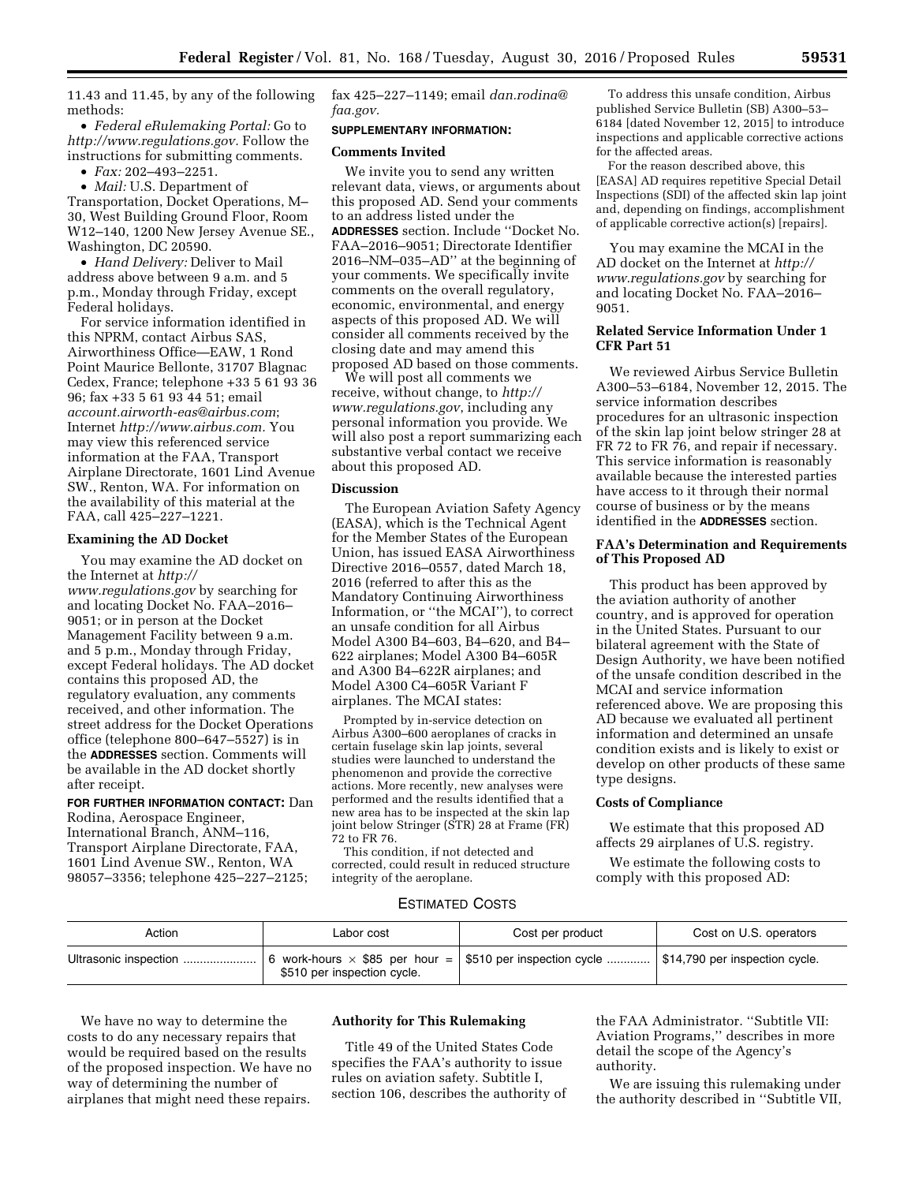11.43 and 11.45, by any of the following methods:

• *Federal eRulemaking Portal:* Go to *[http://www.regulations.gov.](http://www.regulations.gov)* Follow the instructions for submitting comments.

• *Fax:* 202–493–2251.

• *Mail:* U.S. Department of Transportation, Docket Operations, M– 30, West Building Ground Floor, Room W12–140, 1200 New Jersey Avenue SE., Washington, DC 20590.

• *Hand Delivery:* Deliver to Mail address above between 9 a.m. and 5 p.m., Monday through Friday, except Federal holidays.

For service information identified in this NPRM, contact Airbus SAS, Airworthiness Office—EAW, 1 Rond Point Maurice Bellonte, 31707 Blagnac Cedex, France; telephone +33 5 61 93 36 96; fax +33 5 61 93 44 51; email *[account.airworth-eas@airbus.com](mailto:account.airworth-eas@airbus.com)*; Internet *[http://www.airbus.com.](http://www.airbus.com)* You may view this referenced service information at the FAA, Transport Airplane Directorate, 1601 Lind Avenue SW., Renton, WA. For information on the availability of this material at the FAA, call 425–227–1221.

# **Examining the AD Docket**

You may examine the AD docket on the Internet at *[http://](http://www.regulations.gov) [www.regulations.gov](http://www.regulations.gov)* by searching for and locating Docket No. FAA–2016– 9051; or in person at the Docket Management Facility between 9 a.m. and 5 p.m., Monday through Friday, except Federal holidays. The AD docket contains this proposed AD, the regulatory evaluation, any comments received, and other information. The street address for the Docket Operations office (telephone 800–647–5527) is in the **ADDRESSES** section. Comments will be available in the AD docket shortly after receipt.

**FOR FURTHER INFORMATION CONTACT:** Dan Rodina, Aerospace Engineer, International Branch, ANM–116, Transport Airplane Directorate, FAA, 1601 Lind Avenue SW., Renton, WA 98057–3356; telephone 425–227–2125;

fax 425–227–1149; email *[dan.rodina@](mailto:dan.rodina@faa.gov) [faa.gov.](mailto:dan.rodina@faa.gov)* 

#### **SUPPLEMENTARY INFORMATION:**

#### **Comments Invited**

We invite you to send any written relevant data, views, or arguments about this proposed AD. Send your comments to an address listed under the **ADDRESSES** section. Include ''Docket No. FAA–2016–9051; Directorate Identifier 2016–NM–035–AD'' at the beginning of your comments. We specifically invite comments on the overall regulatory, economic, environmental, and energy aspects of this proposed AD. We will consider all comments received by the closing date and may amend this proposed AD based on those comments.

We will post all comments we receive, without change, to *[http://](http://www.regulations.gov) [www.regulations.gov](http://www.regulations.gov)*, including any personal information you provide. We will also post a report summarizing each substantive verbal contact we receive about this proposed AD.

# **Discussion**

The European Aviation Safety Agency (EASA), which is the Technical Agent for the Member States of the European Union, has issued EASA Airworthiness Directive 2016–0557, dated March 18, 2016 (referred to after this as the Mandatory Continuing Airworthiness Information, or ''the MCAI''), to correct an unsafe condition for all Airbus Model A300 B4–603, B4–620, and B4– 622 airplanes; Model A300 B4–605R and A300 B4–622R airplanes; and Model A300 C4–605R Variant F airplanes. The MCAI states:

Prompted by in-service detection on Airbus A300–600 aeroplanes of cracks in certain fuselage skin lap joints, several studies were launched to understand the phenomenon and provide the corrective actions. More recently, new analyses were performed and the results identified that a new area has to be inspected at the skin lap joint below Stringer (STR) 28 at Frame (FR) 72 to FR 76.

This condition, if not detected and corrected, could result in reduced structure integrity of the aeroplane.

To address this unsafe condition, Airbus published Service Bulletin (SB) A300–53– 6184 [dated November 12, 2015] to introduce inspections and applicable corrective actions for the affected areas.

For the reason described above, this [EASA] AD requires repetitive Special Detail Inspections (SDI) of the affected skin lap joint and, depending on findings, accomplishment of applicable corrective action(s) [repairs].

You may examine the MCAI in the AD docket on the Internet at *[http://](http://www.regulations.gov) [www.regulations.gov](http://www.regulations.gov)* by searching for and locating Docket No. FAA–2016– 9051.

# **Related Service Information Under 1 CFR Part 51**

We reviewed Airbus Service Bulletin A300–53–6184, November 12, 2015. The service information describes procedures for an ultrasonic inspection of the skin lap joint below stringer 28 at FR 72 to FR 76, and repair if necessary. This service information is reasonably available because the interested parties have access to it through their normal course of business or by the means identified in the **ADDRESSES** section.

## **FAA's Determination and Requirements of This Proposed AD**

This product has been approved by the aviation authority of another country, and is approved for operation in the United States. Pursuant to our bilateral agreement with the State of Design Authority, we have been notified of the unsafe condition described in the MCAI and service information referenced above. We are proposing this AD because we evaluated all pertinent information and determined an unsafe condition exists and is likely to exist or develop on other products of these same type designs.

# **Costs of Compliance**

We estimate that this proposed AD affects 29 airplanes of U.S. registry.

We estimate the following costs to comply with this proposed AD:

# ESTIMATED COSTS

| Action                | Labor cost                                                                                                                      | Cost per product | Cost on U.S. operators |
|-----------------------|---------------------------------------------------------------------------------------------------------------------------------|------------------|------------------------|
| Ultrasonic inspection | 6 work-hours $\times$ \$85 per hour = \$510 per inspection cycle  \$14,790 per inspection cycle.<br>\$510 per inspection cycle. |                  |                        |

We have no way to determine the costs to do any necessary repairs that would be required based on the results of the proposed inspection. We have no way of determining the number of airplanes that might need these repairs.

### **Authority for This Rulemaking**

Title 49 of the United States Code specifies the FAA's authority to issue rules on aviation safety. Subtitle I, section 106, describes the authority of the FAA Administrator. ''Subtitle VII: Aviation Programs,'' describes in more detail the scope of the Agency's authority.

We are issuing this rulemaking under the authority described in ''Subtitle VII,